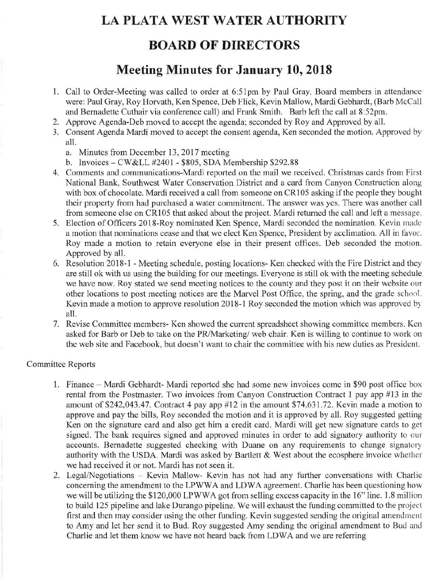# **LA PLATA WEST WATER AUTHORITY**

## **BOARD OF DIRECTORS**

## **Meeting Minutes for January 10, 2018**

- 1. Call to Order-Meeting was called to order at 6:51pm by Paul Gray. Board members in attendance were: Paul Gray, Roy Horvath, Ken Spence, Deb Flick, Kevin Mallow, Mardi Gebhardt, (Barb McCall and Bernadette Cuthair via conference call) and Frank Smith. Barb left the call at 8:52pm.
- 2. Approve Agenda-Deb moved to accept the agenda; seconded by Roy and Approved by all.
- 3. Consent Agenda Mardi moved to accept the consent agenda, Ken seconded the motion. Approved by all.
	- a. Minutes from December 13, 2017 meeting
	- b. Invoices CW&LL #2401 \$805, SDA Membership \$292.88
- 4. Comments and communications-Mardi reported on the mail we received. Christmas cards from First National Bank, Southwest Water Conservation District and a card from Canyon Construction along with box of chocolate. Mardi received a call from someone on CR105 asking if the people they bought their property from had purchased a water commitment. The answer was yes. There was another call from someone else on CR105 that asked about the project. Mardi returned the call and left a message.
- 5. Election of Officers 2018-Roy nominated Ken Spence, Mardi seconded the nomination. Kevin made a motion that nominations cease and that we elect Ken Spence, President by acclimation. All in favor. Roy made a motion to retain everyone else in their present offices. Deb seconded the motion. Approved by all.
- 6. Resolution 2018-1 Meeting schedule, posting locations- Ken checked with the Fire District and they are still ok with us using the building for our meetings. Everyone is still ok with the meeting schedule we have now. Roy stated we send meeting notices to the county and they post it on their website our other locations to post meeting notices are the Marvel Post Office, the spring, and the grade school. Kevin made a motion to approve resolution 2018-1 Roy seconded the motion which was approved by all.
- 7. Revise Committee members- Ken showed the current spreadsheet showing committee members. Ken asked for Barb or Deb to take on the PR/Marketing/ web chair. Ken is willing to continue to work on the web site and Facebook, but doesn't want to chair the committee with his new duties as President.

#### Committee Reports

- 1. Finance Mardi Gebhardt- Mardi reported she had some new invoices come in \$90 post office box rental from the Postmaster. Two invoices from Canyon Construction Contract 1 pay app #13 in the amount of \$242,043.47. Contract 4 pay app #12 in the amount \$74,631.72. Kevin made a motion to approve and pay the bills, Roy seconded the motion and it is approved by all. Roy suggested getting Ken on the signature card and also get him a credit card. Mardi will get new signature cards to get signed. The bank requires signed and approved minutes in order to add signatory authority to our accounts. Bernadette suggested checking with Duane on any requirements to change signatory authority with the USDA. Mardi was asked by Bartlett & West about the ecosphere invoice whether we had received it or not. Mardi has not seen it.
- 2. Legal/Negotiations Kevin Mallow- Kevin has not had any further conversations with Charlie concerning the amendment to the LPWWA and LDWA agreement. Charlie has been questioning how we will be utilizing the \$120,000 LPWWA got from selling excess capacity in the 16" line. 1.8 million to build 125 pipeline and lake Durango pipeline. We will exhaust the funding committed to the project first and then may consider using the other funding. Kevin suggested sending the original amendment to Amy and let her send it to Bud. Roy suggested Amy sending the original amendment to Bud and Charlie and let them know we have not heard back from LDWA and we are referring